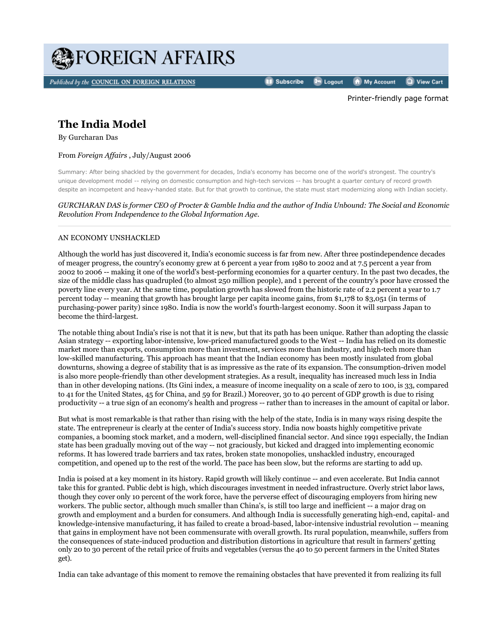# FOREIGN AFFAIRS

Published by the COUNCIL ON FOREIGN RELATIONS

**II** Subscribe **E** Logout **A** My Account

View Cart

# Printer-friendly page format

# **The India Model**

By Gurcharan Das

#### From *Foreign Affairs* , July/August 2006

Summary: After being shackled by the government for decades, India's economy has become one of the world's strongest. The country's unique development model -- relying on domestic consumption and high-tech services -- has brought a quarter century of record growth despite an incompetent and heavy-handed state. But for that growth to continue, the state must start modernizing along with Indian society.

# *GURCHARAN DAS is former CEO of Procter & Gamble India and the author of India Unbound: The Social and Economic Revolution From Independence to the Global Information Age.*

# AN ECONOMY UNSHACKLED

Although the world has just discovered it, India's economic success is far from new. After three postindependence decades of meager progress, the country's economy grew at 6 percent a year from 1980 to 2002 and at 7.5 percent a year from 2002 to 2006 -- making it one of the world's best-performing economies for a quarter century. In the past two decades, the size of the middle class has quadrupled (to almost 250 million people), and 1 percent of the country's poor have crossed the poverty line every year. At the same time, population growth has slowed from the historic rate of 2.2 percent a year to 1.7 percent today -- meaning that growth has brought large per capita income gains, from \$1,178 to \$3,051 (in terms of purchasing-power parity) since 1980. India is now the world's fourth-largest economy. Soon it will surpass Japan to become the third-largest.

The notable thing about India's rise is not that it is new, but that its path has been unique. Rather than adopting the classic Asian strategy -- exporting labor-intensive, low-priced manufactured goods to the West -- India has relied on its domestic market more than exports, consumption more than investment, services more than industry, and high-tech more than low-skilled manufacturing. This approach has meant that the Indian economy has been mostly insulated from global downturns, showing a degree of stability that is as impressive as the rate of its expansion. The consumption-driven model is also more people-friendly than other development strategies. As a result, inequality has increased much less in India than in other developing nations. (Its Gini index, a measure of income inequality on a scale of zero to 100, is 33, compared to 41 for the United States, 45 for China, and 59 for Brazil.) Moreover, 30 to 40 percent of GDP growth is due to rising productivity -- a true sign of an economy's health and progress -- rather than to increases in the amount of capital or labor.

But what is most remarkable is that rather than rising with the help of the state, India is in many ways rising despite the state. The entrepreneur is clearly at the center of India's success story. India now boasts highly competitive private companies, a booming stock market, and a modern, well-disciplined financial sector. And since 1991 especially, the Indian state has been gradually moving out of the way -- not graciously, but kicked and dragged into implementing economic reforms. It has lowered trade barriers and tax rates, broken state monopolies, unshackled industry, encouraged competition, and opened up to the rest of the world. The pace has been slow, but the reforms are starting to add up.

India is poised at a key moment in its history. Rapid growth will likely continue -- and even accelerate. But India cannot take this for granted. Public debt is high, which discourages investment in needed infrastructure. Overly strict labor laws, though they cover only 10 percent of the work force, have the perverse effect of discouraging employers from hiring new workers. The public sector, although much smaller than China's, is still too large and inefficient -- a major drag on growth and employment and a burden for consumers. And although India is successfully generating high-end, capital- and knowledge-intensive manufacturing, it has failed to create a broad-based, labor-intensive industrial revolution -- meaning that gains in employment have not been commensurate with overall growth. Its rural population, meanwhile, suffers from the consequences of state-induced production and distribution distortions in agriculture that result in farmers' getting only 20 to 30 percent of the retail price of fruits and vegetables (versus the 40 to 50 percent farmers in the United States get).

India can take advantage of this moment to remove the remaining obstacles that have prevented it from realizing its full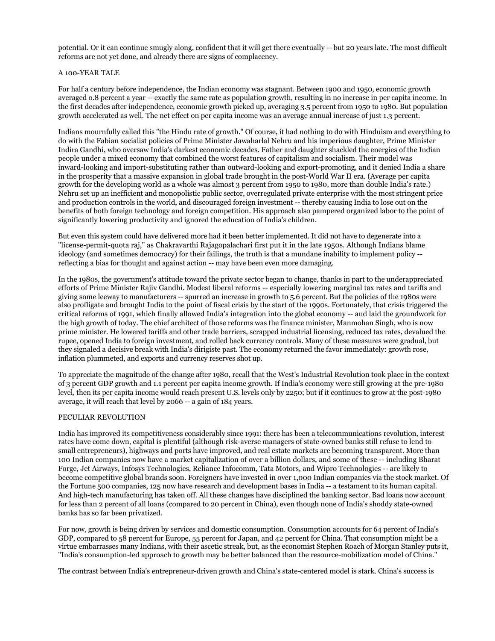potential. Or it can continue smugly along, confident that it will get there eventually -- but 20 years late. The most difficult reforms are not yet done, and already there are signs of complacency.

#### A 100-YEAR TALE

For half a century before independence, the Indian economy was stagnant. Between 1900 and 1950, economic growth averaged o.8 percent a year -- exactly the same rate as population growth, resulting in no increase in per capita income. In the first decades after independence, economic growth picked up, averaging 3.5 percent from 1950 to 1980. But population growth accelerated as well. The net effect on per capita income was an average annual increase of just 1.3 percent.

Indians mournfully called this "the Hindu rate of growth." Of course, it had nothing to do with Hinduism and everything to do with the Fabian socialist policies of Prime Minister Jawaharlal Nehru and his imperious daughter, Prime Minister Indira Gandhi, who oversaw India's darkest economic decades. Father and daughter shackled the energies of the Indian people under a mixed economy that combined the worst features of capitalism and socialism. Their model was inward-looking and import-substituting rather than outward-looking and export-promoting, and it denied India a share in the prosperity that a massive expansion in global trade brought in the post-World War II era. (Average per capita growth for the developing world as a whole was almost 3 percent from 1950 to 1980, more than double India's rate.) Nehru set up an inefficient and monopolistic public sector, overregulated private enterprise with the most stringent price and production controls in the world, and discouraged foreign investment -- thereby causing India to lose out on the benefits of both foreign technology and foreign competition. His approach also pampered organized labor to the point of significantly lowering productivity and ignored the education of India's children.

But even this system could have delivered more had it been better implemented. It did not have to degenerate into a "license-permit-quota raj," as Chakravarthi Rajagopalachari first put it in the late 1950s. Although Indians blame ideology (and sometimes democracy) for their failings, the truth is that a mundane inability to implement policy - reflecting a bias for thought and against action -- may have been even more damaging.

In the 1980s, the government's attitude toward the private sector began to change, thanks in part to the underappreciated efforts of Prime Minister Rajiv Gandhi. Modest liberal reforms -- especially lowering marginal tax rates and tariffs and giving some leeway to manufacturers -- spurred an increase in growth to 5.6 percent. But the policies of the 1980s were also profligate and brought India to the point of fiscal crisis by the start of the 1990s. Fortunately, that crisis triggered the critical reforms of 1991, which finally allowed India's integration into the global economy -- and laid the groundwork for the high growth of today. The chief architect of those reforms was the finance minister, Manmohan Singh, who is now prime minister. He lowered tariffs and other trade barriers, scrapped industrial licensing, reduced tax rates, devalued the rupee, opened India to foreign investment, and rolled back currency controls. Many of these measures were gradual, but they signaled a decisive break with India's dirigiste past. The economy returned the favor immediately: growth rose, inflation plummeted, and exports and currency reserves shot up.

To appreciate the magnitude of the change after 1980, recall that the West's Industrial Revolution took place in the context of 3 percent GDP growth and 1.1 percent per capita income growth. If India's economy were still growing at the pre-1980 level, then its per capita income would reach present U.S. levels only by 2250; but if it continues to grow at the post-1980 average, it will reach that level by 2066 -- a gain of 184 years.

# PECULIAR REVOLUTION

India has improved its competitiveness considerably since 1991: there has been a telecommunications revolution, interest rates have come down, capital is plentiful (although risk-averse managers of state-owned banks still refuse to lend to small entrepreneurs), highways and ports have improved, and real estate markets are becoming transparent. More than 100 Indian companies now have a market capitalization of over a billion dollars, and some of these -- including Bharat Forge, Jet Airways, Infosys Technologies, Reliance Infocomm, Tata Motors, and Wipro Technologies -- are likely to become competitive global brands soon. Foreigners have invested in over 1,000 Indian companies via the stock market. Of the Fortune 500 companies, 125 now have research and development bases in India -- a testament to its human capital. And high-tech manufacturing has taken off. All these changes have disciplined the banking sector. Bad loans now account for less than 2 percent of all loans (compared to 20 percent in China), even though none of India's shoddy state-owned banks has so far been privatized.

For now, growth is being driven by services and domestic consumption. Consumption accounts for 64 percent of India's GDP, compared to 58 percent for Europe, 55 percent for Japan, and 42 percent for China. That consumption might be a virtue embarrasses many Indians, with their ascetic streak, but, as the economist Stephen Roach of Morgan Stanley puts it, "India's consumption-led approach to growth may be better balanced than the resource-mobilization model of China."

The contrast between India's entrepreneur-driven growth and China's state-centered model is stark. China's success is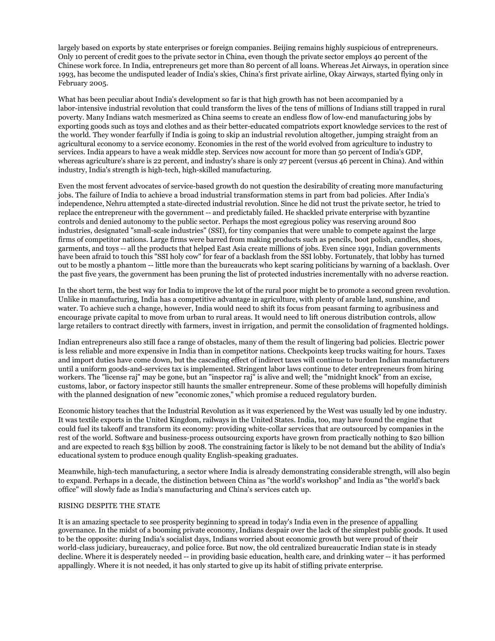largely based on exports by state enterprises or foreign companies. Beijing remains highly suspicious of entrepreneurs. Only 10 percent of credit goes to the private sector in China, even though the private sector employs 40 percent of the Chinese work force. In India, entrepreneurs get more than 80 percent of all loans. Whereas Jet Airways, in operation since 1993, has become the undisputed leader of India's skies, China's first private airline, Okay Airways, started flying only in February 2005.

What has been peculiar about India's development so far is that high growth has not been accompanied by a labor-intensive industrial revolution that could transform the lives of the tens of millions of Indians still trapped in rural poverty. Many Indians watch mesmerized as China seems to create an endless flow of low-end manufacturing jobs by exporting goods such as toys and clothes and as their better-educated compatriots export knowledge services to the rest of the world. They wonder fearfully if India is going to skip an industrial revolution altogether, jumping straight from an agricultural economy to a service economy. Economies in the rest of the world evolved from agriculture to industry to services. India appears to have a weak middle step. Services now account for more than 50 percent of India's GDP, whereas agriculture's share is 22 percent, and industry's share is only 27 percent (versus 46 percent in China). And within industry, India's strength is high-tech, high-skilled manufacturing.

Even the most fervent advocates of service-based growth do not question the desirability of creating more manufacturing jobs. The failure of India to achieve a broad industrial transformation stems in part from bad policies. After India's independence, Nehru attempted a state-directed industrial revolution. Since he did not trust the private sector, he tried to replace the entrepreneur with the government -- and predictably failed. He shackled private enterprise with byzantine controls and denied autonomy to the public sector. Perhaps the most egregious policy was reserving around 800 industries, designated "small-scale industries" (SSI), for tiny companies that were unable to compete against the large firms of competitor nations. Large firms were barred from making products such as pencils, boot polish, candles, shoes, garments, and toys -- all the products that helped East Asia create millions of jobs. Even since 1991, Indian governments have been afraid to touch this "SSI holy cow" for fear of a backlash from the SSI lobby. Fortunately, that lobby has turned out to be mostly a phantom -- little more than the bureaucrats who kept scaring politicians by warning of a backlash. Over the past five years, the government has been pruning the list of protected industries incrementally with no adverse reaction.

In the short term, the best way for India to improve the lot of the rural poor might be to promote a second green revolution. Unlike in manufacturing, India has a competitive advantage in agriculture, with plenty of arable land, sunshine, and water. To achieve such a change, however, India would need to shift its focus from peasant farming to agribusiness and encourage private capital to move from urban to rural areas. It would need to lift onerous distribution controls, allow large retailers to contract directly with farmers, invest in irrigation, and permit the consolidation of fragmented holdings.

Indian entrepreneurs also still face a range of obstacles, many of them the result of lingering bad policies. Electric power is less reliable and more expensive in India than in competitor nations. Checkpoints keep trucks waiting for hours. Taxes and import duties have come down, but the cascading effect of indirect taxes will continue to burden Indian manufacturers until a uniform goods-and-services tax is implemented. Stringent labor laws continue to deter entrepreneurs from hiring workers. The "license raj" may be gone, but an "inspector raj" is alive and well; the "midnight knock" from an excise, customs, labor, or factory inspector still haunts the smaller entrepreneur. Some of these problems will hopefully diminish with the planned designation of new "economic zones," which promise a reduced regulatory burden.

Economic history teaches that the Industrial Revolution as it was experienced by the West was usually led by one industry. It was textile exports in the United Kingdom, railways in the United States. India, too, may have found the engine that could fuel its takeoff and transform its economy: providing white-collar services that are outsourced by companies in the rest of the world. Software and business-process outsourcing exports have grown from practically nothing to \$20 billion and are expected to reach \$35 billion by 2008. The constraining factor is likely to be not demand but the ability of India's educational system to produce enough quality English-speaking graduates.

Meanwhile, high-tech manufacturing, a sector where India is already demonstrating considerable strength, will also begin to expand. Perhaps in a decade, the distinction between China as "the world's workshop" and India as "the world's back office" will slowly fade as India's manufacturing and China's services catch up.

# RISING DESPITE THE STATE

It is an amazing spectacle to see prosperity beginning to spread in today's India even in the presence of appalling governance. In the midst of a booming private economy, Indians despair over the lack of the simplest public goods. It used to be the opposite: during India's socialist days, Indians worried about economic growth but were proud of their world-class judiciary, bureaucracy, and police force. But now, the old centralized bureaucratic Indian state is in steady decline. Where it is desperately needed -- in providing basic education, health care, and drinking water -- it has performed appallingly. Where it is not needed, it has only started to give up its habit of stifling private enterprise.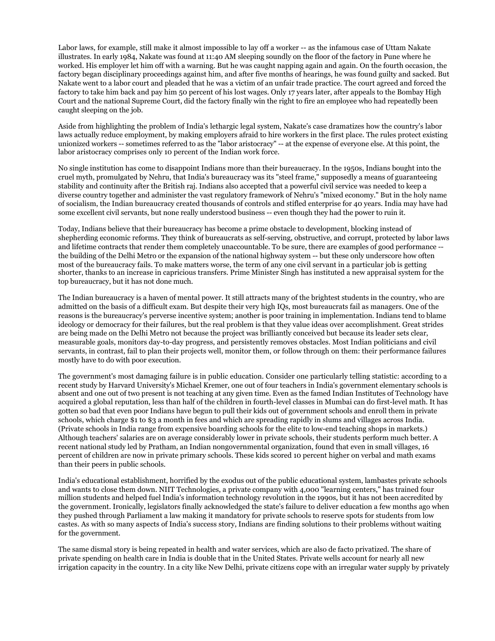Labor laws, for example, still make it almost impossible to lay off a worker -- as the infamous case of Uttam Nakate illustrates. In early 1984, Nakate was found at 11:40 AM sleeping soundly on the floor of the factory in Pune where he worked. His employer let him off with a warning. But he was caught napping again and again. On the fourth occasion, the factory began disciplinary proceedings against him, and after five months of hearings, he was found guilty and sacked. But Nakate went to a labor court and pleaded that he was a victim of an unfair trade practice. The court agreed and forced the factory to take him back and pay him 50 percent of his lost wages. Only 17 years later, after appeals to the Bombay High Court and the national Supreme Court, did the factory finally win the right to fire an employee who had repeatedly been caught sleeping on the job.

Aside from highlighting the problem of India's lethargic legal system, Nakate's case dramatizes how the country's labor laws actually reduce employment, by making employers afraid to hire workers in the first place. The rules protect existing unionized workers -- sometimes referred to as the "labor aristocracy" -- at the expense of everyone else. At this point, the labor aristocracy comprises only 10 percent of the Indian work force.

No single institution has come to disappoint Indians more than their bureaucracy. In the 1950s, Indians bought into the cruel myth, promulgated by Nehru, that India's bureaucracy was its "steel frame," supposedly a means of guaranteeing stability and continuity after the British raj. Indians also accepted that a powerful civil service was needed to keep a diverse country together and administer the vast regulatory framework of Nehru's "mixed economy." But in the holy name of socialism, the Indian bureaucracy created thousands of controls and stifled enterprise for 40 years. India may have had some excellent civil servants, but none really understood business -- even though they had the power to ruin it.

Today, Indians believe that their bureaucracy has become a prime obstacle to development, blocking instead of shepherding economic reforms. They think of bureaucrats as self-serving, obstructive, and corrupt, protected by labor laws and lifetime contracts that render them completely unaccountable. To be sure, there are examples of good performance - the building of the Delhi Metro or the expansion of the national highway system -- but these only underscore how often most of the bureaucracy fails. To make matters worse, the term of any one civil servant in a particular job is getting shorter, thanks to an increase in capricious transfers. Prime Minister Singh has instituted a new appraisal system for the top bureaucracy, but it has not done much.

The Indian bureaucracy is a haven of mental power. It still attracts many of the brightest students in the country, who are admitted on the basis of a difficult exam. But despite their very high IQs, most bureaucrats fail as managers. One of the reasons is the bureaucracy's perverse incentive system; another is poor training in implementation. Indians tend to blame ideology or democracy for their failures, but the real problem is that they value ideas over accomplishment. Great strides are being made on the Delhi Metro not because the project was brilliantly conceived but because its leader sets clear, measurable goals, monitors day-to-day progress, and persistently removes obstacles. Most Indian politicians and civil servants, in contrast, fail to plan their projects well, monitor them, or follow through on them: their performance failures mostly have to do with poor execution.

The government's most damaging failure is in public education. Consider one particularly telling statistic: according to a recent study by Harvard University's Michael Kremer, one out of four teachers in India's government elementary schools is absent and one out of two present is not teaching at any given time. Even as the famed Indian Institutes of Technology have acquired a global reputation, less than half of the children in fourth-level classes in Mumbai can do first-level math. It has gotten so bad that even poor Indians have begun to pull their kids out of government schools and enroll them in private schools, which charge \$1 to \$3 a month in fees and which are spreading rapidly in slums and villages across India. (Private schools in India range from expensive boarding schools for the elite to low-end teaching shops in markets.) Although teachers' salaries are on average considerably lower in private schools, their students perform much better. A recent national study led by Pratham, an Indian nongovernmental organization, found that even in small villages, 16 percent of children are now in private primary schools. These kids scored 10 percent higher on verbal and math exams than their peers in public schools.

India's educational establishment, horrified by the exodus out of the public educational system, lambastes private schools and wants to close them down. NIIT Technologies, a private company with 4,000 "learning centers," has trained four million students and helped fuel India's information technology revolution in the 1990s, but it has not been accredited by the government. Ironically, legislators finally acknowledged the state's failure to deliver education a few months ago when they pushed through Parliament a law making it mandatory for private schools to reserve spots for students from low castes. As with so many aspects of India's success story, Indians are finding solutions to their problems without waiting for the government.

The same dismal story is being repeated in health and water services, which are also de facto privatized. The share of private spending on health care in India is double that in the United States. Private wells account for nearly all new irrigation capacity in the country. In a city like New Delhi, private citizens cope with an irregular water supply by privately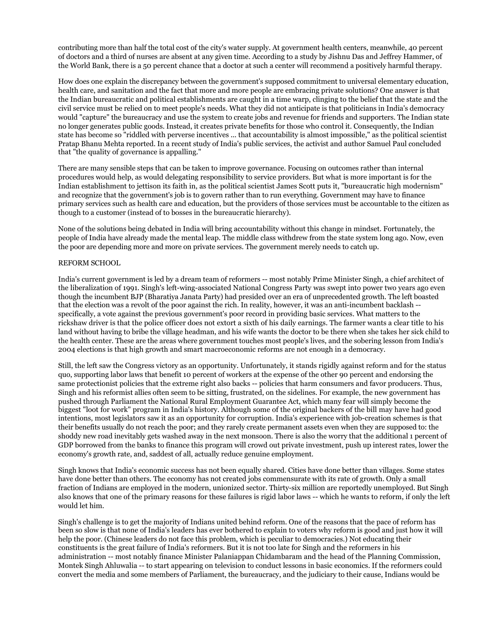contributing more than half the total cost of the city's water supply. At government health centers, meanwhile, 40 percent of doctors and a third of nurses are absent at any given time. According to a study by Jishnu Das and Jeffrey Hammer, of the World Bank, there is a 50 percent chance that a doctor at such a center will recommend a positively harmful therapy.

How does one explain the discrepancy between the government's supposed commitment to universal elementary education, health care, and sanitation and the fact that more and more people are embracing private solutions? One answer is that the Indian bureaucratic and political establishments are caught in a time warp, clinging to the belief that the state and the civil service must be relied on to meet people's needs. What they did not anticipate is that politicians in India's democracy would "capture" the bureaucracy and use the system to create jobs and revenue for friends and supporters. The Indian state no longer generates public goods. Instead, it creates private benefits for those who control it. Consequently, the Indian state has become so "riddled with perverse incentives ... that accountability is almost impossible," as the political scientist Pratap Bhanu Mehta reported. In a recent study of India's public services, the activist and author Samuel Paul concluded that "the quality of governance is appalling."

There are many sensible steps that can be taken to improve governance. Focusing on outcomes rather than internal procedures would help, as would delegating responsibility to service providers. But what is more important is for the Indian establishment to jettison its faith in, as the political scientist James Scott puts it, "bureaucratic high modernism" and recognize that the government's job is to govern rather than to run everything. Government may have to finance primary services such as health care and education, but the providers of those services must be accountable to the citizen as though to a customer (instead of to bosses in the bureaucratic hierarchy).

None of the solutions being debated in India will bring accountability without this change in mindset. Fortunately, the people of India have already made the mental leap. The middle class withdrew from the state system long ago. Now, even the poor are depending more and more on private services. The government merely needs to catch up.

# REFORM SCHOOL

India's current government is led by a dream team of reformers -- most notably Prime Minister Singh, a chief architect of the liberalization of 1991. Singh's left-wing-associated National Congress Party was swept into power two years ago even though the incumbent BJP (Bharatiya Janata Party) had presided over an era of unprecedented growth. The left boasted that the election was a revolt of the poor against the rich. In reality, however, it was an anti-incumbent backlash - specifically, a vote against the previous government's poor record in providing basic services. What matters to the rickshaw driver is that the police officer does not extort a sixth of his daily earnings. The farmer wants a clear title to his land without having to bribe the village headman, and his wife wants the doctor to be there when she takes her sick child to the health center. These are the areas where government touches most people's lives, and the sobering lesson from India's 2004 elections is that high growth and smart macroeconomic reforms are not enough in a democracy.

Still, the left saw the Congress victory as an opportunity. Unfortunately, it stands rigidly against reform and for the status quo, supporting labor laws that benefit 10 percent of workers at the expense of the other 90 percent and endorsing the same protectionist policies that the extreme right also backs -- policies that harm consumers and favor producers. Thus, Singh and his reformist allies often seem to be sitting, frustrated, on the sidelines. For example, the new government has pushed through Parliament the National Rural Employment Guarantee Act, which many fear will simply become the biggest "loot for work" program in India's history. Although some of the original backers of the bill may have had good intentions, most legislators saw it as an opportunity for corruption. India's experience with job-creation schemes is that their benefits usually do not reach the poor; and they rarely create permanent assets even when they are supposed to: the shoddy new road inevitably gets washed away in the next monsoon. There is also the worry that the additional 1 percent of GDP borrowed from the banks to finance this program will crowd out private investment, push up interest rates, lower the economy's growth rate, and, saddest of all, actually reduce genuine employment.

Singh knows that India's economic success has not been equally shared. Cities have done better than villages. Some states have done better than others. The economy has not created jobs commensurate with its rate of growth. Only a small fraction of Indians are employed in the modern, unionized sector. Thirty-six million are reportedly unemployed. But Singh also knows that one of the primary reasons for these failures is rigid labor laws -- which he wants to reform, if only the left would let him.

Singh's challenge is to get the majority of Indians united behind reform. One of the reasons that the pace of reform has been so slow is that none of India's leaders has ever bothered to explain to voters why reform is good and just how it will help the poor. (Chinese leaders do not face this problem, which is peculiar to democracies.) Not educating their constituents is the great failure of India's reformers. But it is not too late for Singh and the reformers in his administration -- most notably finance Minister Palaniappan Chidambaram and the head of the Planning Commission, Montek Singh Ahluwalia -- to start appearing on television to conduct lessons in basic economics. If the reformers could convert the media and some members of Parliament, the bureaucracy, and the judiciary to their cause, Indians would be